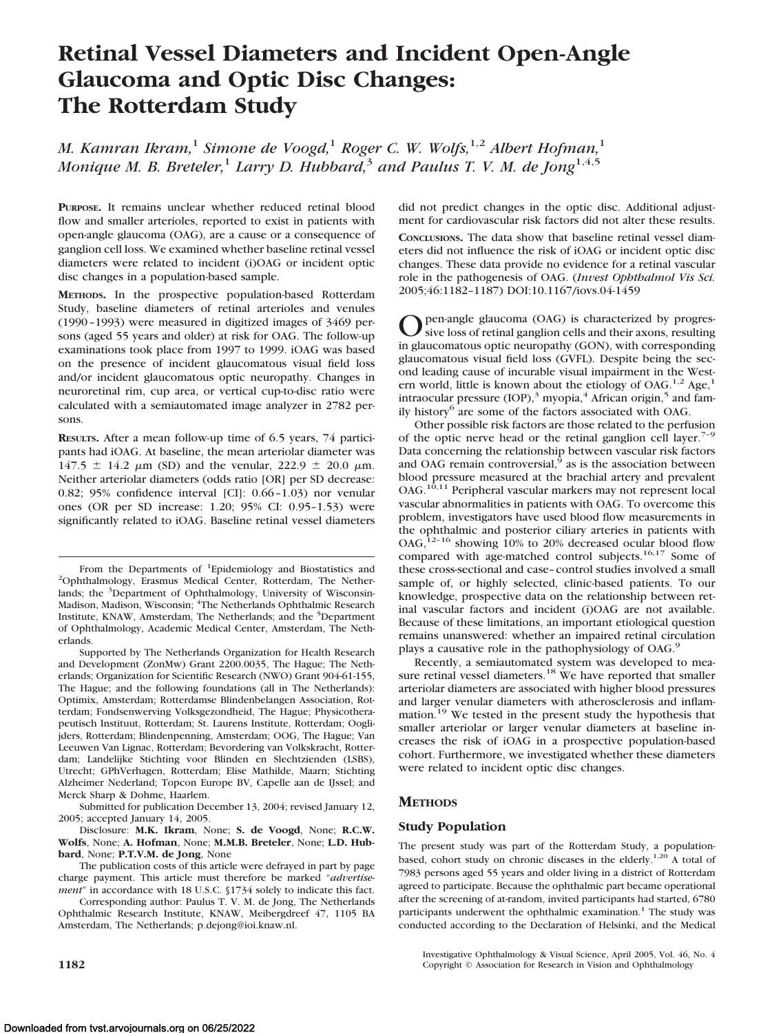# **Retinal Vessel Diameters and Incident Open-Angle Glaucoma and Optic Disc Changes: The Rotterdam Study**

*M. Kamran Ikram,*<sup>1</sup> *Simone de Voogd,*<sup>1</sup> *Roger C. W. Wolfs,*1,2 *Albert Hofman,*<sup>1</sup> *Monique M. B. Breteler,*<sup>1</sup> *Larry D. Hubbard,*<sup>3</sup> *and Paulus T. V. M. de Jong*1,4,5

**PURPOSE.** It remains unclear whether reduced retinal blood flow and smaller arterioles, reported to exist in patients with open-angle glaucoma (OAG), are a cause or a consequence of ganglion cell loss. We examined whether baseline retinal vessel diameters were related to incident (i)OAG or incident optic disc changes in a population-based sample.

**METHODS.** In the prospective population-based Rotterdam Study, baseline diameters of retinal arterioles and venules (1990 –1993) were measured in digitized images of 3469 persons (aged 55 years and older) at risk for OAG. The follow-up examinations took place from 1997 to 1999. iOAG was based on the presence of incident glaucomatous visual field loss and/or incident glaucomatous optic neuropathy. Changes in neuroretinal rim, cup area, or vertical cup-to-disc ratio were calculated with a semiautomated image analyzer in 2782 persons.

**RESULTS.** After a mean follow-up time of 6.5 years, 74 participants had iOAG. At baseline, the mean arteriolar diameter was  $147.5 \pm 14.2 \mu m$  (SD) and the venular,  $222.9 \pm 20.0 \mu m$ . Neither arteriolar diameters (odds ratio [OR] per SD decrease: 0.82; 95% confidence interval [CI]: 0.66 –1.03) nor venular ones (OR per SD increase: 1.20; 95% CI: 0.95–1.53) were significantly related to iOAG. Baseline retinal vessel diameters

The publication costs of this article were defrayed in part by page charge payment. This article must therefore be marked "*advertisement*" in accordance with 18 U.S.C. §1734 solely to indicate this fact.

Corresponding author: Paulus T. V. M. de Jong, The Netherlands Ophthalmic Research Institute, KNAW, Meibergdreef 47, 1105 BA Amsterdam, The Netherlands; p.dejong@ioi.knaw.nl.

did not predict changes in the optic disc. Additional adjustment for cardiovascular risk factors did not alter these results. **CONCLUSIONS.** The data show that baseline retinal vessel diameters did not influence the risk of iOAG or incident optic disc changes. These data provide no evidence for a retinal vascular role in the pathogenesis of OAG. (*Invest Ophthalmol Vis Sci.* 2005;46:1182–1187) DOI:10.1167/iovs.04-1459

Open-angle glaucoma (OAG) is characterized by progres-<br>sive loss of retinal ganglion cells and their axons, resulting<br>is also assumed in grave and the COND with a supergrading in glaucomatous optic neuropathy (GON), with corresponding glaucomatous visual field loss (GVFL). Despite being the second leading cause of incurable visual impairment in the Western world, little is known about the etiology of OAG.<sup>1,2</sup> Age,<sup>1</sup> intraocular pressure (IOP),<sup>3</sup> myopia,<sup>4</sup> African origin,<sup>5</sup> and family history<sup>6</sup> are some of the factors associated with OAG.

Other possible risk factors are those related to the perfusion of the optic nerve head or the retinal ganglion cell layer.<sup>7-9</sup> Data concerning the relationship between vascular risk factors and OAG remain controversial, $9$  as is the association between blood pressure measured at the brachial artery and prevalent OAG.<sup>10,11</sup> Peripheral vascular markers may not represent local vascular abnormalities in patients with OAG. To overcome this problem, investigators have used blood flow measurements in the ophthalmic and posterior ciliary arteries in patients with OAG,<sup>12-16</sup> showing 10% to 20% decreased ocular blood flow compared with age-matched control subjects.16,17 Some of these cross-sectional and case–control studies involved a small sample of, or highly selected, clinic-based patients. To our knowledge, prospective data on the relationship between retinal vascular factors and incident (i)OAG are not available. Because of these limitations, an important etiological question remains unanswered: whether an impaired retinal circulation plays a causative role in the pathophysiology of OAG.<sup>9</sup>

Recently, a semiautomated system was developed to mea-<br>sure retinal vessel diameters.<sup>18</sup> We have reported that smaller arteriolar diameters are associated with higher blood pressures and larger venular diameters with atherosclerosis and inflammation.<sup>19</sup> We tested in the present study the hypothesis that smaller arteriolar or larger venular diameters at baseline increases the risk of iOAG in a prospective population-based cohort. Furthermore, we investigated whether these diameters were related to incident optic disc changes.

# **METHODS**

# **Study Population**

The present study was part of the Rotterdam Study, a populationbased, cohort study on chronic diseases in the elderly.<sup>1,20</sup> A total of 7983 persons aged 55 years and older living in a district of Rotterdam agreed to participate. Because the ophthalmic part became operational after the screening of at-random, invited participants had started, 6780 participants underwent the ophthalmic examination.<sup>1</sup> The study was conducted according to the Declaration of Helsinki, and the Medical

Investigative Ophthalmology & Visual Science, April 2005, Vol. 46, No. 4 **1182** Copyright © Association for Research in Vision and Ophthalmology

From the Departments of <sup>1</sup>Epidemiology and Biostatistics and <sup>2</sup>Ophthalmology Ensenus Medical Center Potterdam The Nether <sup>2</sup>Ophthalmology, Erasmus Medical Center, Rotterdam, The Netherlands; the <sup>3</sup>Department of Ophthalmology, University of Wisconsin-Madison, Madison, Wisconsin; <sup>4</sup>The Netherlands Ophthalmic Research Institute, KNAW, Amsterdam, The Netherlands; and the <sup>5</sup>Department of Ophthalmology, Academic Medical Center, Amsterdam, The Netherlands.

Supported by The Netherlands Organization for Health Research and Development (ZonMw) Grant 2200.0035, The Hague; The Netherlands; Organization for Scientific Research (NWO) Grant 904-61-155, The Hague; and the following foundations (all in The Netherlands): Optimix, Amsterdam; Rotterdamse Blindenbelangen Association, Rotterdam; Fondsenwerving Volksgezondheid, The Hague; Physicotherapeutisch Instituut, Rotterdam; St. Laurens Institute, Rotterdam; Ooglijders, Rotterdam; Blindenpenning, Amsterdam; OOG, The Hague; Van Leeuwen Van Lignac, Rotterdam; Bevordering van Volkskracht, Rotterdam; Landelijke Stichting voor Blinden en Slechtzienden (LSBS), Utrecht; GPhVerhagen, Rotterdam; Elise Mathilde, Maarn; Stichting Alzheimer Nederland; Topcon Europe BV, Capelle aan de IJssel; and Merck Sharp & Dohme, Haarlem.

Submitted for publication December 13, 2004; revised January 12, 2005; accepted January 14, 2005.

Disclosure: **M.K. Ikram**, None; **S. de Voogd**, None; **R.C.W. Wolfs**, None; **A. Hofman**, None; **M.M.B. Breteler**, None; **L.D. Hubbard**, None; **P.T.V.M. de Jong**, None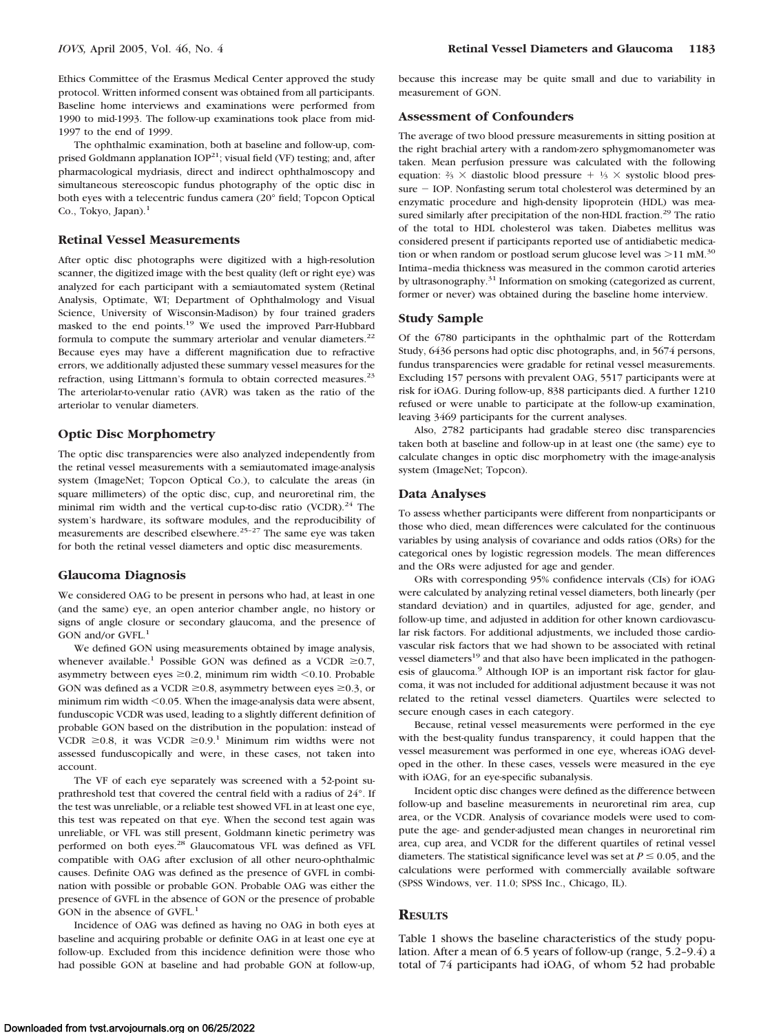Ethics Committee of the Erasmus Medical Center approved the study protocol. Written informed consent was obtained from all participants. Baseline home interviews and examinations were performed from 1990 to mid-1993. The follow-up examinations took place from mid-1997 to the end of 1999.

The ophthalmic examination, both at baseline and follow-up, comprised Goldmann applanation  $IOP^{21}$ ; visual field (VF) testing; and, after pharmacological mydriasis, direct and indirect ophthalmoscopy and simultaneous stereoscopic fundus photography of the optic disc in both eyes with a telecentric fundus camera (20° field; Topcon Optical Co., Tokyo, Japan).<sup>1</sup>

#### **Retinal Vessel Measurements**

After optic disc photographs were digitized with a high-resolution scanner, the digitized image with the best quality (left or right eye) was analyzed for each participant with a semiautomated system (Retinal Analysis, Optimate, WI; Department of Ophthalmology and Visual Science, University of Wisconsin-Madison) by four trained graders masked to the end points.<sup>19</sup> We used the improved Parr-Hubbard formula to compute the summary arteriolar and venular diameters. $22$ Because eyes may have a different magnification due to refractive errors, we additionally adjusted these summary vessel measures for the refraction, using Littmann's formula to obtain corrected measures.<sup>23</sup> The arteriolar-to-venular ratio (AVR) was taken as the ratio of the arteriolar to venular diameters.

## **Optic Disc Morphometry**

The optic disc transparencies were also analyzed independently from the retinal vessel measurements with a semiautomated image-analysis system (ImageNet; Topcon Optical Co.), to calculate the areas (in square millimeters) of the optic disc, cup, and neuroretinal rim, the minimal rim width and the vertical cup-to-disc ratio (VCDR).<sup>24</sup> The system's hardware, its software modules, and the reproducibility of measurements are described elsewhere.25–27 The same eye was taken for both the retinal vessel diameters and optic disc measurements.

#### **Glaucoma Diagnosis**

We considered OAG to be present in persons who had, at least in one (and the same) eye, an open anterior chamber angle, no history or signs of angle closure or secondary glaucoma, and the presence of GON and/or GVFL.<sup>1</sup>

We defined GON using measurements obtained by image analysis, whenever available.<sup>1</sup> Possible GON was defined as a VCDR  $\geq$ 0.7, asymmetry between eyes  $\geq 0.2$ , minimum rim width < 0.10. Probable GON was defined as a VCDR  $\geq$ 0.8, asymmetry between eyes  $\geq$ 0.3, or minimum rim width <0.05. When the image-analysis data were absent, funduscopic VCDR was used, leading to a slightly different definition of probable GON based on the distribution in the population: instead of VCDR  $\geq 0.8$ , it was VCDR  $\geq 0.9$ .<sup>1</sup> Minimum rim widths were not assessed funduscopically and were, in these cases, not taken into account.

The VF of each eye separately was screened with a 52-point suprathreshold test that covered the central field with a radius of 24°. If the test was unreliable, or a reliable test showed VFL in at least one eye, this test was repeated on that eye. When the second test again was unreliable, or VFL was still present, Goldmann kinetic perimetry was performed on both eyes.28 Glaucomatous VFL was defined as VFL compatible with OAG after exclusion of all other neuro-ophthalmic causes. Definite OAG was defined as the presence of GVFL in combination with possible or probable GON. Probable OAG was either the presence of GVFL in the absence of GON or the presence of probable GON in the absence of GVFL.<sup>1</sup>

Incidence of OAG was defined as having no OAG in both eyes at baseline and acquiring probable or definite OAG in at least one eye at follow-up. Excluded from this incidence definition were those who had possible GON at baseline and had probable GON at follow-up,

because this increase may be quite small and due to variability in measurement of GON.

#### **Assessment of Confounders**

The average of two blood pressure measurements in sitting position at the right brachial artery with a random-zero sphygmomanometer was taken. Mean perfusion pressure was calculated with the following equation:  $\frac{2}{3} \times$  diastolic blood pressure  $+$   $\frac{1}{3} \times$  systolic blood pres $sure - IOP$ . Nonfasting serum total cholesterol was determined by an enzymatic procedure and high-density lipoprotein (HDL) was measured similarly after precipitation of the non-HDL fraction.<sup>29</sup> The ratio of the total to HDL cholesterol was taken. Diabetes mellitus was considered present if participants reported use of antidiabetic medication or when random or postload serum glucose level was  $>11$  mM.<sup>30</sup> Intima–media thickness was measured in the common carotid arteries by ultrasonography.<sup>31</sup> Information on smoking (categorized as current, former or never) was obtained during the baseline home interview.

#### **Study Sample**

Of the 6780 participants in the ophthalmic part of the Rotterdam Study, 6436 persons had optic disc photographs, and, in 5674 persons, fundus transparencies were gradable for retinal vessel measurements. Excluding 157 persons with prevalent OAG, 5517 participants were at risk for iOAG. During follow-up, 838 participants died. A further 1210 refused or were unable to participate at the follow-up examination, leaving 3469 participants for the current analyses.

Also, 2782 participants had gradable stereo disc transparencies taken both at baseline and follow-up in at least one (the same) eye to calculate changes in optic disc morphometry with the image-analysis system (ImageNet; Topcon).

## **Data Analyses**

To assess whether participants were different from nonparticipants or those who died, mean differences were calculated for the continuous variables by using analysis of covariance and odds ratios (ORs) for the categorical ones by logistic regression models. The mean differences and the ORs were adjusted for age and gender.

ORs with corresponding 95% confidence intervals (CIs) for iOAG were calculated by analyzing retinal vessel diameters, both linearly (per standard deviation) and in quartiles, adjusted for age, gender, and follow-up time, and adjusted in addition for other known cardiovascular risk factors. For additional adjustments, we included those cardiovascular risk factors that we had shown to be associated with retinal vessel diameters<sup>19</sup> and that also have been implicated in the pathogenesis of glaucoma.<sup>9</sup> Although IOP is an important risk factor for glaucoma, it was not included for additional adjustment because it was not related to the retinal vessel diameters. Quartiles were selected to secure enough cases in each category.

Because, retinal vessel measurements were performed in the eye with the best-quality fundus transparency, it could happen that the vessel measurement was performed in one eye, whereas iOAG developed in the other. In these cases, vessels were measured in the eye with iOAG, for an eye-specific subanalysis.

Incident optic disc changes were defined as the difference between follow-up and baseline measurements in neuroretinal rim area, cup area, or the VCDR. Analysis of covariance models were used to compute the age- and gender-adjusted mean changes in neuroretinal rim area, cup area, and VCDR for the different quartiles of retinal vessel diameters. The statistical significance level was set at  $P \le 0.05$ , and the calculations were performed with commercially available software (SPSS Windows, ver. 11.0; SPSS Inc., Chicago, IL).

#### **RESULTS**

Table 1 shows the baseline characteristics of the study population. After a mean of 6.5 years of follow-up (range, 5.2–9.4) a total of 74 participants had iOAG, of whom 52 had probable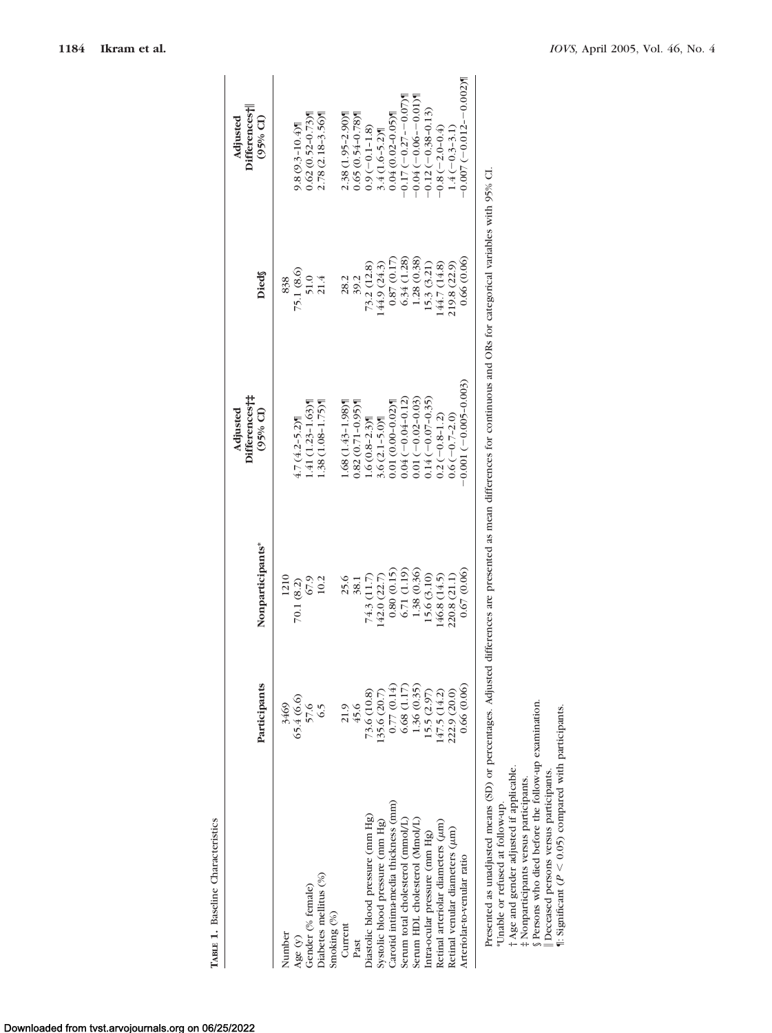|                                        | Participants | Nonparticipants* | Differences†‡<br>$(95% \text{ CI})$<br>Adjusted | Dieds        | Differences <sup>†</sup><br>Adjusted<br>$(95%$ CI |
|----------------------------------------|--------------|------------------|-------------------------------------------------|--------------|---------------------------------------------------|
| Number                                 | 3469         | 1210             |                                                 | 838          |                                                   |
| Age $(y)$                              | 65.4 (6.6)   | 70.1 (8.2)       | $4.7(4.2 - 5.2)$                                | 75.1 (8.6)   | $9.8(9.3 - 10.4)$                                 |
| Gender (% female)                      | 57.6         | 67.9             | $1.41(1.23 - 1.63)$                             | 51.0         | $0.62(0.52 - 0.73)$                               |
| Diabetes mellitus (%)                  | 6.5          | 10.2             | $1.38(1.08 - 1.75)$                             | 21.4         | 2.78 (2.18-3.56)                                  |
| Smoking (%)                            |              |                  |                                                 |              |                                                   |
| Current                                |              | 25.6             | $1.68(1.43 - 1.98)$                             | 28.2         | 2.38 (1.95-2.90)                                  |
| Past                                   | 21.9<br>45.6 | 38.1             | $0.82(0.71 - 0.95)$                             | 39.2         | $0.65(0.54 - 0.78)$                               |
| Diastolic blood pressure (mm Hg)       | 73.6 (10.8)  | 74.3 (11.7)      | $1.6(0.8-2.3)$                                  | 73.2 (12.8)  | $0.9(-0.1 - 1.8)$                                 |
| Systolic blood pressure (mm Hg)        | (35.6 (20.7) | (42.0 (22.7))    | $3.6(2.1 - 5.0)$                                | 144.9 (24.3) | $3.4(1.6-5.2)$                                    |
| Carotid intima-media thickness (mm)    | 0.77(0.14)   | 0.80(0.15)       | $0.01(0.00-0.02)$                               | 0.87(0.17)   | $0.04(0.02 - 0.05)$                               |
| Serum total cholesterol (mmol/L)       | 6.68(1.17)   | 6.71 (1.19)      | $0.04(-0.04 - 0.12)$                            | 6.34 (1.28)  | $-0.17(-0.27 - 0.07)$                             |
| Serum HDL cholesterol (Mmol/L)         | 1.36(0.35)   | 1.38 (0.36)      | $0.01(-0.02 - 0.03)$                            | 1.28(0.38)   | $-0.04(-0.06 - 0.01)$                             |
| Intra-ocular pressure (mm Hg)          | 15.5(2.97)   | 15.6 (3.10)      | $0.14(-0.07-0.35)$                              | 15.3 (3.21)  | $-0.12(-0.38-0.13)$                               |
| Retinal arteriolar diameters $(\mu m)$ | 47.5 (14.2)  | 46.8 (14.5)      | $0.2(-0.8-1.2)$                                 | 44.7 (14.8)  | $-0.8(-2.0-0.4)$                                  |
| Retinal venular diameters ( $\mu$ m)   | 222.9 (20.0) | 220.8 (21.1)     | $0.6(-0.7-2.0)$                                 | 219.8 (22.9) | $1.4(-0.3-3.1)$                                   |
| Arteriolar-to-venular ratio            | 0.66(0.06)   | 0.67(0.06)       | $-0.001(-0.005-0.003)$                          | 0.66(0.06)   | $70000 - 21000 - 0.000$                           |

 $\frac{1}{4}$ 

\*Unable or refused at follow-up.

† Age and gender adjusted if applicable.

‡ Nonparticipants versus participants.

§ Persons who died before the follow-up examination.

Deceased persons versus participants.

¶: Significant (*P* V  $< 0.05$ ) compared with participants.

**TABLE 1.** Baseline Characteristics

TABLE 1. Baseline Characteristics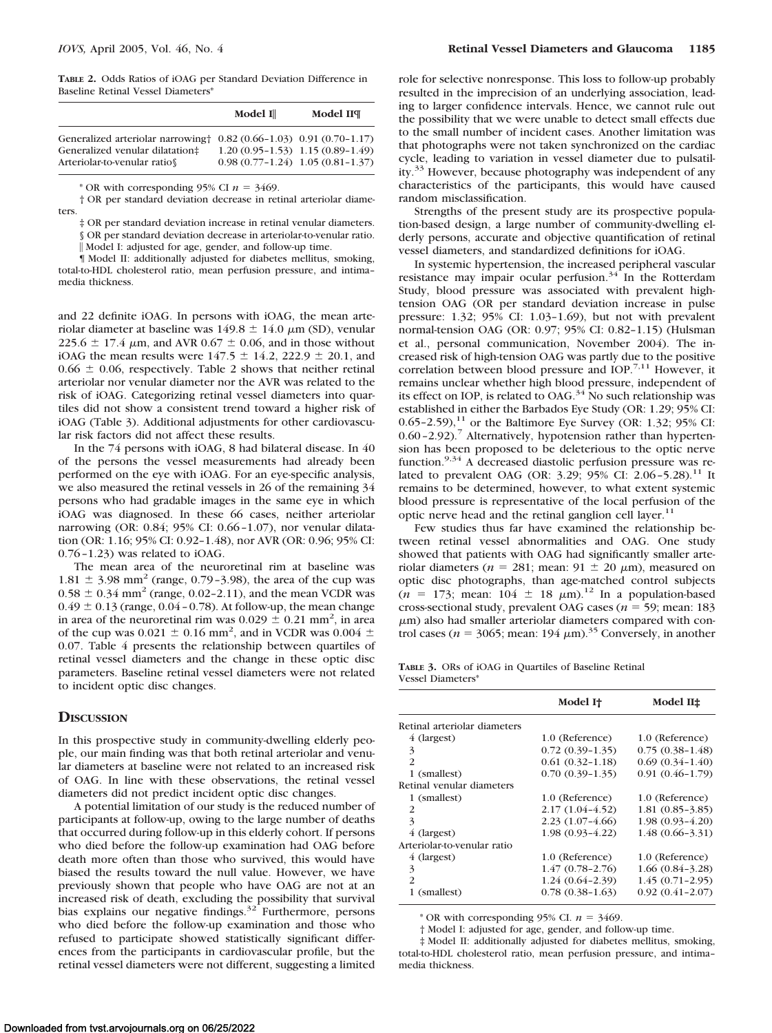**TABLE 2.** Odds Ratios of iOAG per Standard Deviation Difference in Baseline Retinal Vessel Diameters\*

|                                                                                                                                                  | Model I | Model IIT                                                                   |
|--------------------------------------------------------------------------------------------------------------------------------------------------|---------|-----------------------------------------------------------------------------|
| Generalized arteriolar narrowing $\uparrow$ 0.82 (0.66-1.03) 0.91 (0.70-1.17)<br>Generalized venular dilatation#<br>Arteriolar-to-venular ratios |         | $1.20(0.95-1.53)$ $1.15(0.89-1.49)$<br>$0.98(0.77-1.24)$ 1.05 $(0.81-1.37)$ |

\* OR with corresponding 95% CI  $n = 3469$ .

† OR per standard deviation decrease in retinal arteriolar diameters.

‡ OR per standard deviation increase in retinal venular diameters. § OR per standard deviation decrease in arteriolar-to-venular ratio.

|| Model I: adjusted for age, gender, and follow-up time.

¶ Model II: additionally adjusted for diabetes mellitus, smoking, total-to-HDL cholesterol ratio, mean perfusion pressure, and intima– media thickness.

and 22 definite iOAG. In persons with iOAG, the mean arteriolar diameter at baseline was  $149.8 \pm 14.0 \mu m$  (SD), venular 225.6  $\pm$  17.4  $\mu$ m, and AVR 0.67  $\pm$  0.06, and in those without iOAG the mean results were  $147.5 \pm 14.2$ ,  $222.9 \pm 20.1$ , and  $0.66 \pm 0.06$ , respectively. Table 2 shows that neither retinal arteriolar nor venular diameter nor the AVR was related to the risk of iOAG. Categorizing retinal vessel diameters into quartiles did not show a consistent trend toward a higher risk of iOAG (Table 3). Additional adjustments for other cardiovascular risk factors did not affect these results.

In the 74 persons with iOAG, 8 had bilateral disease. In 40 of the persons the vessel measurements had already been performed on the eye with iOAG. For an eye-specific analysis, we also measured the retinal vessels in 26 of the remaining 34 persons who had gradable images in the same eye in which iOAG was diagnosed. In these 66 cases, neither arteriolar narrowing (OR: 0.84; 95% CI: 0.66 –1.07), nor venular dilatation (OR: 1.16; 95% CI: 0.92–1.48), nor AVR (OR: 0.96; 95% CI: 0.76 –1.23) was related to iOAG.

The mean area of the neuroretinal rim at baseline was  $1.81 \pm 3.98$  mm<sup>2</sup> (range, 0.79-3.98), the area of the cup was  $0.58 \pm 0.34$  mm<sup>2</sup> (range, 0.02–2.11), and the mean VCDR was  $0.49 \pm 0.13$  (range,  $0.04 - 0.78$ ). At follow-up, the mean change in area of the neuroretinal rim was  $0.029 \pm 0.21$  mm<sup>2</sup>, in area of the cup was 0.021  $\pm$  0.16 mm<sup>2</sup>, and in VCDR was 0.004  $\pm$ 0.07. Table 4 presents the relationship between quartiles of retinal vessel diameters and the change in these optic disc parameters. Baseline retinal vessel diameters were not related to incident optic disc changes.

# **DISCUSSION**

In this prospective study in community-dwelling elderly people, our main finding was that both retinal arteriolar and venular diameters at baseline were not related to an increased risk of OAG. In line with these observations, the retinal vessel diameters did not predict incident optic disc changes.

A potential limitation of our study is the reduced number of participants at follow-up, owing to the large number of deaths that occurred during follow-up in this elderly cohort. If persons who died before the follow-up examination had OAG before death more often than those who survived, this would have biased the results toward the null value. However, we have previously shown that people who have OAG are not at an increased risk of death, excluding the possibility that survival bias explains our negative findings.<sup>32</sup> Furthermore, persons who died before the follow-up examination and those who refused to participate showed statistically significant differences from the participants in cardiovascular profile, but the retinal vessel diameters were not different, suggesting a limited

role for selective nonresponse. This loss to follow-up probably resulted in the imprecision of an underlying association, leading to larger confidence intervals. Hence, we cannot rule out the possibility that we were unable to detect small effects due to the small number of incident cases. Another limitation was that photographs were not taken synchronized on the cardiac cycle, leading to variation in vessel diameter due to pulsatility.33 However, because photography was independent of any characteristics of the participants, this would have caused random misclassification.

Strengths of the present study are its prospective population-based design, a large number of community-dwelling elderly persons, accurate and objective quantification of retinal vessel diameters, and standardized definitions for iOAG.

In systemic hypertension, the increased peripheral vascular resistance may impair ocular perfusion. $34$  In the Rotterdam Study, blood pressure was associated with prevalent hightension OAG (OR per standard deviation increase in pulse pressure: 1.32; 95% CI: 1.03–1.69), but not with prevalent normal-tension OAG (OR: 0.97; 95% CI: 0.82–1.15) (Hulsman et al., personal communication, November 2004). The increased risk of high-tension OAG was partly due to the positive correlation between blood pressure and IOP.7,11 However, it remains unclear whether high blood pressure, independent of its effect on IOP, is related to OAG.<sup>34</sup> No such relationship was established in either the Barbados Eye Study (OR: 1.29; 95% CI: 0.65-2.59),<sup>11</sup> or the Baltimore Eye Survey (OR: 1.32; 95% CI: 0.60-2.92).<sup>7</sup> Alternatively, hypotension rather than hypertension has been proposed to be deleterious to the optic nerve function.<sup>9,34</sup> A decreased diastolic perfusion pressure was related to prevalent OAG (OR: 3.29; 95% CI: 2.06-5.28).<sup>11</sup> It remains to be determined, however, to what extent systemic blood pressure is representative of the local perfusion of the optic nerve head and the retinal ganglion cell layer.<sup>11</sup>

Few studies thus far have examined the relationship between retinal vessel abnormalities and OAG. One study showed that patients with OAG had significantly smaller arteriolar diameters ( $n = 281$ ; mean:  $91 \pm 20 \mu$ m), measured on optic disc photographs, than age-matched control subjects  $(n = 173;$  mean:  $104 \pm 18$   $\mu$ m).<sup>12</sup> In a population-based cross-sectional study, prevalent OAG cases ( $n = 59$ ; mean: 183  $\mu$ m) also had smaller arteriolar diameters compared with control cases ( $n = 3065$ ; mean: 194  $\mu$ m).<sup>35</sup> Conversely, in another

|                   |  |  | <b>TABLE 3.</b> ORs of iOAG in Quartiles of Baseline Retinal |  |  |
|-------------------|--|--|--------------------------------------------------------------|--|--|
| Vessel Diameters* |  |  |                                                              |  |  |

|                              | Model It            | Model II±           |
|------------------------------|---------------------|---------------------|
| Retinal arteriolar diameters |                     |                     |
| 4 (largest)                  | 1.0 (Reference)     | 1.0 (Reference)     |
| 3                            | $0.72(0.39-1.35)$   | $0.75(0.38-1.48)$   |
| $\mathcal{P}$                | $0.61(0.32 - 1.18)$ | $0.69(0.34 - 1.40)$ |
| 1 (smallest)                 | $0.70(0.39-1.35)$   | $0.91(0.46 - 1.79)$ |
| Retinal venular diameters    |                     |                     |
| 1 (smallest)                 | 1.0 (Reference)     | 1.0 (Reference)     |
| 2                            | $2.17(1.04-4.52)$   | $1.81(0.85-3.85)$   |
| 3                            | $2.23(1.07-4.66)$   | $1.98(0.93 - 4.20)$ |
| 4 (largest)                  | $1.98(0.93 - 4.22)$ | $1.48(0.66 - 3.31)$ |
| Arteriolar-to-venular ratio  |                     |                     |
| 4 (largest)                  | 1.0 (Reference)     | 1.0 (Reference)     |
| 3                            | $1.47(0.78-2.76)$   | $1.66(0.84 - 3.28)$ |
| $\mathcal{P}$                | $1.24(0.64 - 2.39)$ | $1.45(0.71-2.95)$   |
| 1 (smallest)                 | $0.78(0.38-1.63)$   | $0.92(0.41 - 2.07)$ |

\* OR with corresponding 95% CI.  $n = 3469$ .

† Model I: adjusted for age, gender, and follow-up time.

‡ Model II: additionally adjusted for diabetes mellitus, smoking, total-to-HDL cholesterol ratio, mean perfusion pressure, and intima– media thickness.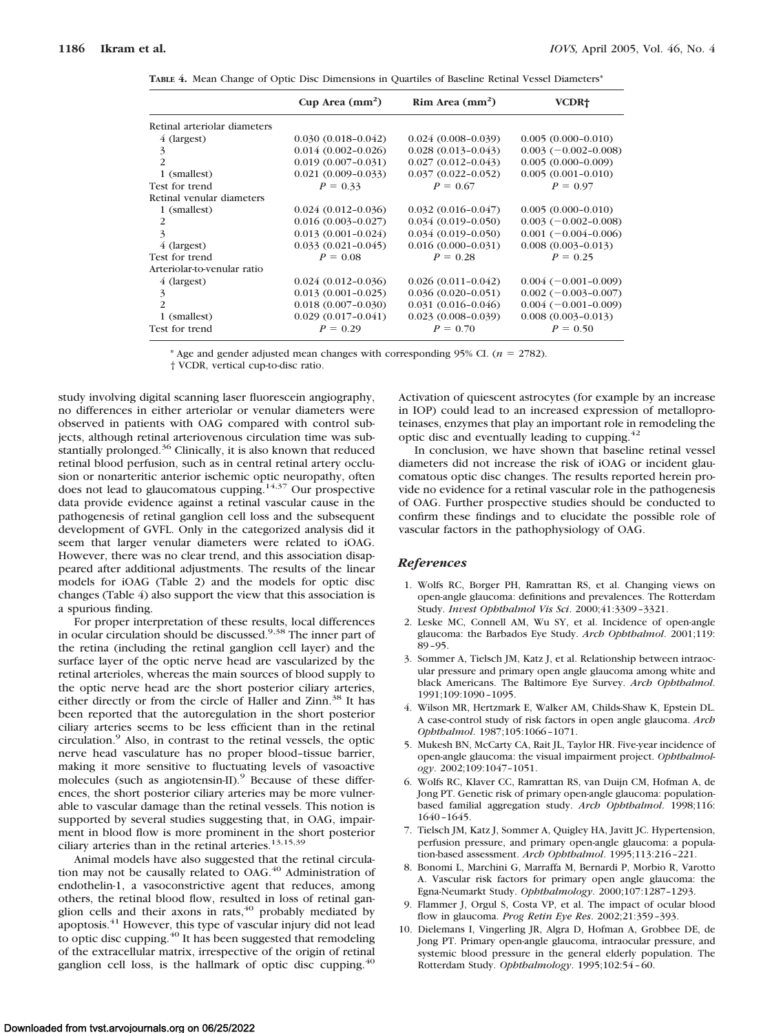**TABLE 4.** Mean Change of Optic Disc Dimensions in Quartiles of Baseline Retinal Vessel Diameters\*

|                              | Cup Area $(mm^2)$      | Rim Area (mm <sup>2</sup> ) | VCDR <sup>+</sup>      |
|------------------------------|------------------------|-----------------------------|------------------------|
| Retinal arteriolar diameters |                        |                             |                        |
| 4 (largest)                  | $0.030(0.018-0.042)$   | $0.024(0.008-0.039)$        | $0.005(0.000 - 0.010)$ |
| 3                            | $0.014(0.002 - 0.026)$ | $0.028(0.013 - 0.043)$      | $0.003(-0.002-0.008)$  |
| 2                            | $0.019(0.007 - 0.031)$ | $0.027(0.012 - 0.043)$      | $0.005(0.000 - 0.009)$ |
| 1 (smallest)                 | $0.021(0.009 - 0.033)$ | $0.037(0.022 - 0.052)$      | $0.005(0.001 - 0.010)$ |
| Test for trend               | $P = 0.33$             | $P = 0.67$                  | $P = 0.97$             |
| Retinal venular diameters    |                        |                             |                        |
| 1 (smallest)                 | $0.024(0.012-0.036)$   | $0.032(0.016 - 0.047)$      | $0.005(0.000 - 0.010)$ |
| 2                            | $0.016(0.003 - 0.027)$ | $0.034(0.019 - 0.050)$      | $0.003(-0.002-0.008)$  |
| 3                            | $0.013(0.001 - 0.024)$ | $0.034(0.019 - 0.050)$      | $0.001(-0.004-0.006)$  |
| 4 (largest)                  | $0.033(0.021 - 0.045)$ | $0.016(0.000 - 0.031)$      | $0.008(0.003 - 0.013)$ |
| Test for trend               | $P = 0.08$             | $P = 0.28$                  | $P = 0.25$             |
| Arteriolar-to-venular ratio  |                        |                             |                        |
| 4 (largest)                  | $0.024(0.012-0.036)$   | $0.026(0.011 - 0.042)$      | $0.004(-0.001-0.009)$  |
| 3                            | $0.013(0.001 - 0.025)$ | $0.036(0.020 - 0.051)$      | $0.002(-0.003-0.007)$  |
| $\mathfrak{D}$               | $0.018(0.007-0.030)$   | $0.031(0.016 - 0.046)$      | $0.004(-0.001-0.009)$  |
| 1 (smallest)                 | $0.029(0.017 - 0.041)$ | $0.023(0.008 - 0.039)$      | $0.008(0.003 - 0.013)$ |
| Test for trend               | $P = 0.29$             | $P = 0.70$                  | $P = 0.50$             |

\* Age and gender adjusted mean changes with corresponding 95% CI.  $(n = 2782)$ .

† VCDR, vertical cup-to-disc ratio.

study involving digital scanning laser fluorescein angiography, no differences in either arteriolar or venular diameters were observed in patients with OAG compared with control subjects, although retinal arteriovenous circulation time was substantially prolonged.<sup>36</sup> Clinically, it is also known that reduced retinal blood perfusion, such as in central retinal artery occlusion or nonarteritic anterior ischemic optic neuropathy, often does not lead to glaucomatous cupping.<sup>14,37</sup> Our prospective data provide evidence against a retinal vascular cause in the pathogenesis of retinal ganglion cell loss and the subsequent development of GVFL. Only in the categorized analysis did it seem that larger venular diameters were related to iOAG. However, there was no clear trend, and this association disappeared after additional adjustments. The results of the linear models for iOAG (Table 2) and the models for optic disc changes (Table 4) also support the view that this association is a spurious finding.

For proper interpretation of these results, local differences in ocular circulation should be discussed.9,38 The inner part of the retina (including the retinal ganglion cell layer) and the surface layer of the optic nerve head are vascularized by the retinal arterioles, whereas the main sources of blood supply to the optic nerve head are the short posterior ciliary arteries, either directly or from the circle of Haller and Zinn.<sup>38</sup> It has been reported that the autoregulation in the short posterior ciliary arteries seems to be less efficient than in the retinal circulation.9 Also, in contrast to the retinal vessels, the optic nerve head vasculature has no proper blood–tissue barrier, making it more sensitive to fluctuating levels of vasoactive molecules (such as angiotensin-II).<sup>9</sup> Because of these differences, the short posterior ciliary arteries may be more vulnerable to vascular damage than the retinal vessels. This notion is supported by several studies suggesting that, in OAG, impairment in blood flow is more prominent in the short posterior ciliary arteries than in the retinal arteries.<sup>13,15,39</sup>

Animal models have also suggested that the retinal circulation may not be causally related to OAG.<sup>40</sup> Administration of endothelin-1, a vasoconstrictive agent that reduces, among others, the retinal blood flow, resulted in loss of retinal ganglion cells and their axons in rats, $40$  probably mediated by apoptosis.41 However, this type of vascular injury did not lead to optic disc cupping.<sup>40</sup> It has been suggested that remodeling of the extracellular matrix, irrespective of the origin of retinal ganglion cell loss, is the hallmark of optic disc cupping.<sup>40</sup>

Activation of quiescent astrocytes (for example by an increase in IOP) could lead to an increased expression of metalloproteinases, enzymes that play an important role in remodeling the optic disc and eventually leading to cupping.<sup>42</sup>

In conclusion, we have shown that baseline retinal vessel diameters did not increase the risk of iOAG or incident glaucomatous optic disc changes. The results reported herein provide no evidence for a retinal vascular role in the pathogenesis of OAG. Further prospective studies should be conducted to confirm these findings and to elucidate the possible role of vascular factors in the pathophysiology of OAG.

## *References*

- 1. Wolfs RC, Borger PH, Ramrattan RS, et al. Changing views on open-angle glaucoma: definitions and prevalences. The Rotterdam Study. *Invest Ophthalmol Vis Sci*. 2000;41:3309 –3321.
- 2. Leske MC, Connell AM, Wu SY, et al. Incidence of open-angle glaucoma: the Barbados Eye Study. *Arch Ophthalmol*. 2001;119: 89 –95.
- 3. Sommer A, Tielsch JM, Katz J, et al. Relationship between intraocular pressure and primary open angle glaucoma among white and black Americans. The Baltimore Eye Survey. *Arch Ophthalmol*. 1991;109:1090 –1095.
- 4. Wilson MR, Hertzmark E, Walker AM, Childs-Shaw K, Epstein DL. A case-control study of risk factors in open angle glaucoma. *Arch Ophthalmol*. 1987;105:1066 –1071.
- 5. Mukesh BN, McCarty CA, Rait JL, Taylor HR. Five-year incidence of open-angle glaucoma: the visual impairment project. *Ophthalmology*. 2002;109:1047–1051.
- 6. Wolfs RC, Klaver CC, Ramrattan RS, van Duijn CM, Hofman A, de Jong PT. Genetic risk of primary open-angle glaucoma: populationbased familial aggregation study. *Arch Ophthalmol*. 1998;116: 1640 –1645.
- 7. Tielsch JM, Katz J, Sommer A, Quigley HA, Javitt JC. Hypertension, perfusion pressure, and primary open-angle glaucoma: a population-based assessment. *Arch Ophthalmol*. 1995;113:216 –221.
- 8. Bonomi L, Marchini G, Marraffa M, Bernardi P, Morbio R, Varotto A. Vascular risk factors for primary open angle glaucoma: the Egna-Neumarkt Study. *Ophthalmology*. 2000;107:1287–1293.
- 9. Flammer J, Orgul S, Costa VP, et al. The impact of ocular blood flow in glaucoma. *Prog Retin Eye Res*. 2002;21:359 –393.
- 10. Dielemans I, Vingerling JR, Algra D, Hofman A, Grobbee DE, de Jong PT. Primary open-angle glaucoma, intraocular pressure, and systemic blood pressure in the general elderly population. The Rotterdam Study. *Ophthalmology*. 1995;102:54 – 60.